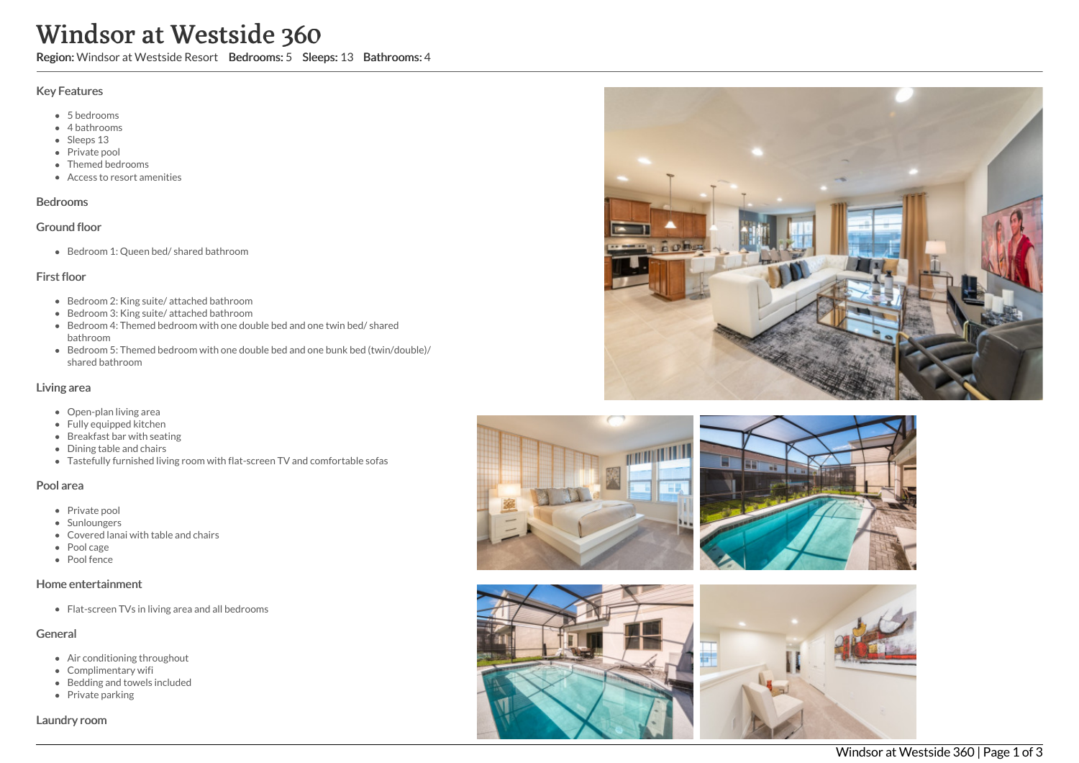# Windsor at Westside 360

Region: Windsor at Westside Resort Bedrooms: 5 Sleeps: 13 Bathrooms: 4

#### Key Features

- 5 bedrooms
- 4 bathrooms
- Sleeps 13
- Private pool
- Themed bedrooms
- Access to resort amenities

### Bedrooms

## Ground floor

Bedroom 1: Queen bed/ shared bathroom

# First floor

- Bedroom 2: King suite/ attached bathroom
- Bedroom 3: King suite/ attached bathroom
- $\bullet$  Bedroom 4: Themed bedroom with one double bed and one twin bed/ shared bathroom
- Bedroom 5: Themed bedroom with one double bed and one bunk bed (twin/double)/ shared bathroom

# Living area

- Open-plan living area
- Fully equipped kitchen
- Breakfast bar with seating
- Dining table and chairs
- Tastefully furnished living room with flat-screen TV and comfortable sofas

## Pool area

- Private pool
- Sunloungers
- Covered lanai with table and chairs
- Pool cage
- Pool fence

#### Home entertainment

Flat-screen TVs in living area and all bedrooms

## General

- Air conditioning throughout
- Complimentary wifi
- Bedding and towels included
- Private parking

Laundry room









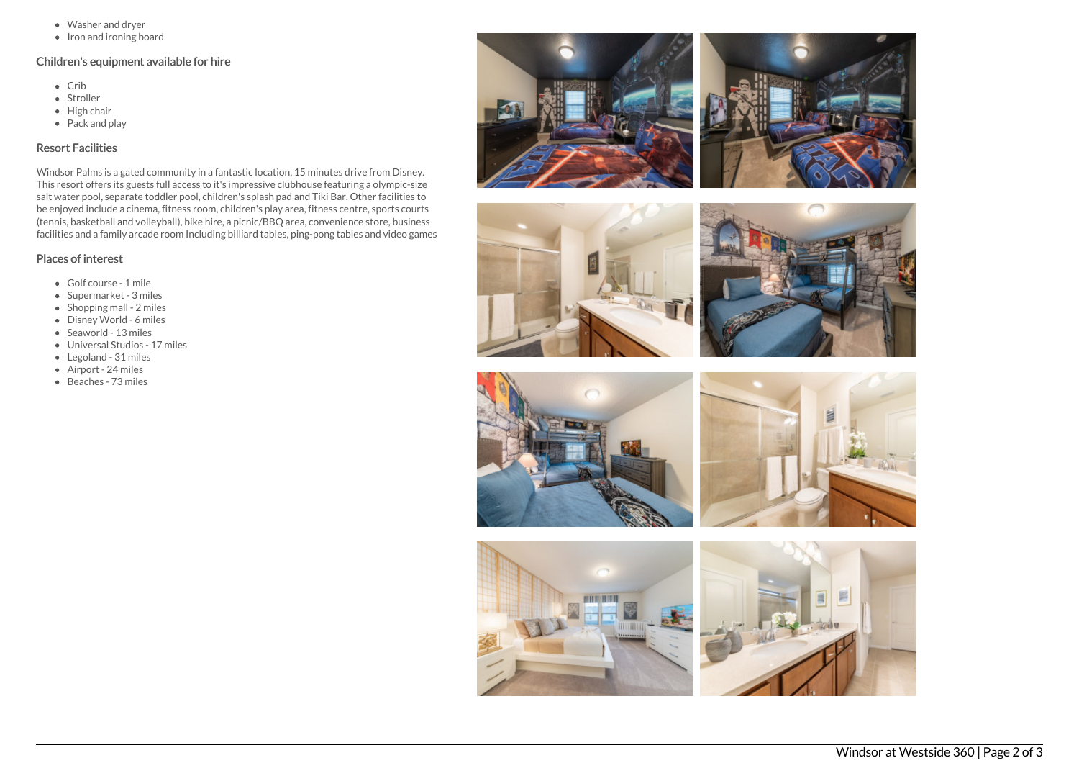- Washer and dryer
- $\bullet$  Iron and ironing board

# Children's equipment available for hire

- Crib
- Stroller
- $\bullet$  High chair
- Pack and play

# Resort Facilities

Windsor Palms is a gated community in a fantastic location, 15 minutes drive from Disney. This resort offers its guests full access to it's impressive clubhouse featuring a olympic-size salt water pool, separate toddler pool, children's splash pad and Tiki Bar. Other facilities to be enjoyed include a cinema, fitness room, children's play area, fitness centre, sports courts (tennis, basketball and volleyball), bike hire, a picnic/BBQ area, convenience store, business facilities and a family arcade room Including billiard tables, ping-pong tables and video games

# Places of interest

- Golf course 1 mile
- Supermarket 3 miles
- $\bullet$  Shopping mall 2 miles
- Disney World 6 miles
- Seaworld 13 miles
- Universal Studios 17 miles
- Legoland 31 miles
- Airport 24 miles
- Beaches 73 miles